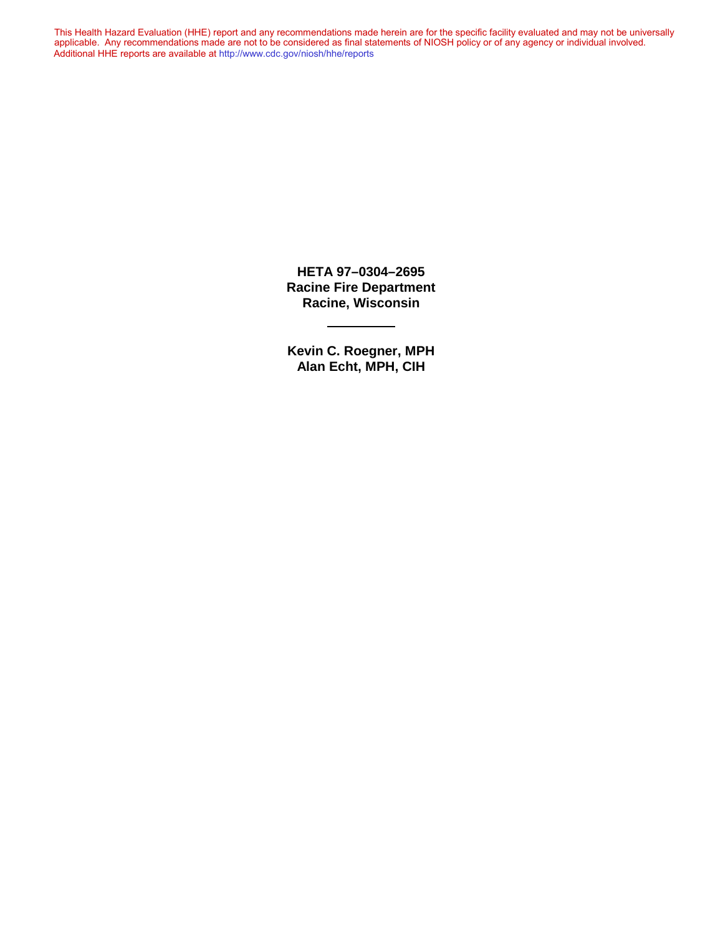This Health Hazard Evaluation (HHE) report and any recommendations made herein are for the specific facility evaluated and may not be universally applicable. Any recommendations made are not to be considered as final statements of NIOSH policy or of any agency or individual involved. Additional HHE reports are available at <http://www.cdc.gov/niosh/hhe/reports> Additional HHE reports are available at <http://www.cdc.gov/niosh/hhe/reports>This Health Hazard Evaluation (HHE) report and any recommendations made herein are for the specific facility evaluated and may not be universally applicable. Any recommendations made are not to be considered as final statements of NIOSH policy or of any agency or individual involved

> **HETA 97–0304–2695 Racine Fire Department Racine, Wisconsin**

**Kevin C. Roegner, MPH Alan Echt, MPH, CIH**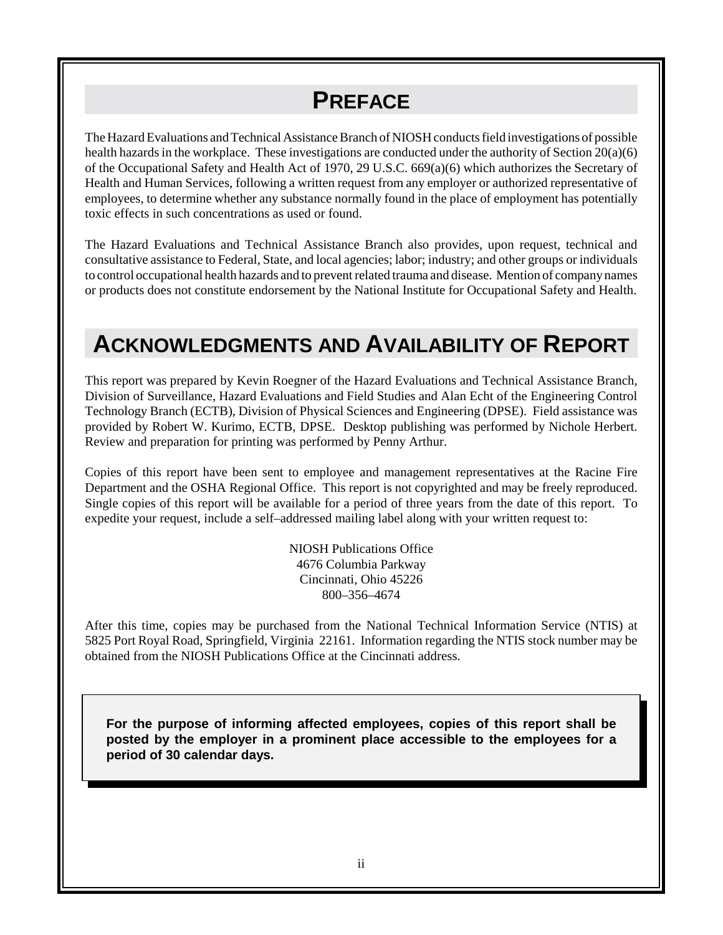# **PREFACE**

The Hazard Evaluations and Technical Assistance Branch of NIOSH conducts field investigations of possible health hazards in the workplace. These investigations are conducted under the authority of Section 20(a)(6) of the Occupational Safety and Health Act of 1970, 29 U.S.C. 669(a)(6) which authorizes the Secretary of Health and Human Services, following a written request from any employer or authorized representative of employees, to determine whether any substance normally found in the place of employment has potentially toxic effects in such concentrations as used or found.

The Hazard Evaluations and Technical Assistance Branch also provides, upon request, technical and consultative assistance to Federal, State, and local agencies; labor; industry; and other groups or individuals to control occupational health hazards and to prevent related trauma and disease. Mention of company names or products does not constitute endorsement by the National Institute for Occupational Safety and Health.

# **ACKNOWLEDGMENTS AND AVAILABILITY OF REPORT**

This report was prepared by Kevin Roegner of the Hazard Evaluations and Technical Assistance Branch, Division of Surveillance, Hazard Evaluations and Field Studies and Alan Echt of the Engineering Control Technology Branch (ECTB), Division of Physical Sciences and Engineering (DPSE). Field assistance was provided by Robert W. Kurimo, ECTB, DPSE. Desktop publishing was performed by Nichole Herbert. Review and preparation for printing was performed by Penny Arthur.

Copies of this report have been sent to employee and management representatives at the Racine Fire Department and the OSHA Regional Office. This report is not copyrighted and may be freely reproduced. Single copies of this report will be available for a period of three years from the date of this report. To expedite your request, include a self–addressed mailing label along with your written request to:

> NIOSH Publications Office 4676 Columbia Parkway Cincinnati, Ohio 45226 800–356–4674

After this time, copies may be purchased from the National Technical Information Service (NTIS) at 5825 Port Royal Road, Springfield, Virginia 22161. Information regarding the NTIS stock number may be obtained from the NIOSH Publications Office at the Cincinnati address.

**For the purpose of informing affected employees, copies of this report shall be posted by the employer in a prominent place accessible to the employees for a period of 30 calendar days.**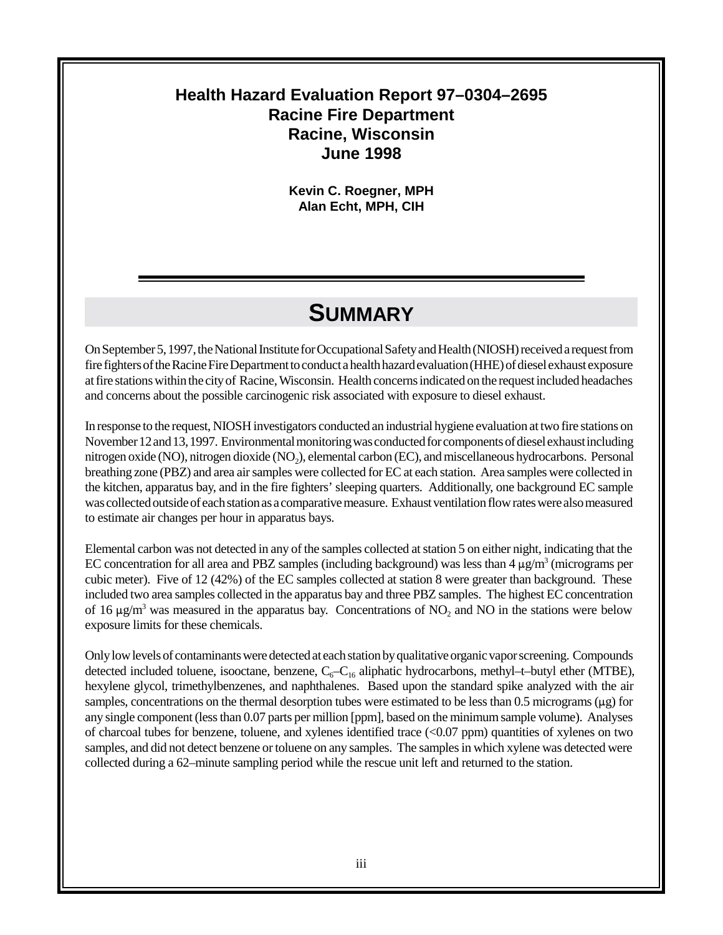#### **Health Hazard Evaluation Report 97–0304–2695 Racine Fire Department Racine, Wisconsin June 1998**

**Kevin C. Roegner, MPH Alan Echt, MPH, CIH**

### **SUMMARY**

On September 5, 1997, the National Institute for Occupational Safety and Health (NIOSH) received a request from fire fighters of the Racine Fire Department to conduct a health hazard evaluation (HHE) of diesel exhaust exposure at fire stations within the city of Racine, Wisconsin. Health concerns indicated on the request included headaches and concerns about the possible carcinogenic risk associated with exposure to diesel exhaust.

In response to the request, NIOSH investigators conducted an industrial hygiene evaluation at two fire stations on November 12 and 13, 1997. Environmental monitoring was conducted for components of diesel exhaust including nitrogen oxide (NO), nitrogen dioxide (NO<sub>2</sub>), elemental carbon (EC), and miscellaneous hydrocarbons. Personal breathing zone (PBZ) and area air samples were collected for EC at each station. Area samples were collected in the kitchen, apparatus bay, and in the fire fighters' sleeping quarters. Additionally, one background EC sample was collected outside of each station as a comparative measure. Exhaust ventilation flow rates were also measured to estimate air changes per hour in apparatus bays.

Elemental carbon was not detected in any of the samples collected at station 5 on either night, indicating that the EC concentration for all area and PBZ samples (including background) was less than  $4 \mu g/m^3$  (micrograms per cubic meter). Five of 12 (42%) of the EC samples collected at station 8 were greater than background. These included two area samples collected in the apparatus bay and three PBZ samples. The highest EC concentration of 16  $\mu$ g/m<sup>3</sup> was measured in the apparatus bay. Concentrations of NO<sub>2</sub> and NO in the stations were below exposure limits for these chemicals.

Only low levels of contaminants were detected at each station by qualitative organic vapor screening. Compounds detected included toluene, isooctane, benzene,  $C_6-C_{16}$  aliphatic hydrocarbons, methyl-t-butyl ether (MTBE), hexylene glycol, trimethylbenzenes, and naphthalenes. Based upon the standard spike analyzed with the air samples, concentrations on the thermal desorption tubes were estimated to be less than 0.5 micrograms ( $\mu$ g) for any single component (less than 0.07 parts per million [ppm], based on the minimum sample volume). Analyses of charcoal tubes for benzene, toluene, and xylenes identified trace (<0.07 ppm) quantities of xylenes on two samples, and did not detect benzene or toluene on any samples. The samples in which xylene was detected were collected during a 62–minute sampling period while the rescue unit left and returned to the station.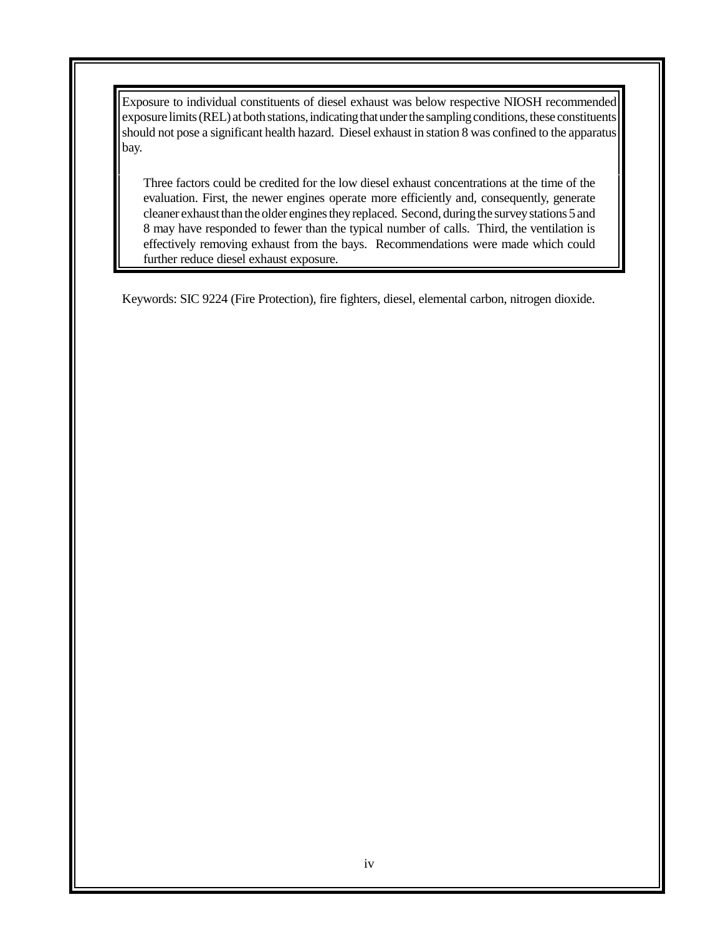Exposure to individual constituents of diesel exhaust was below respective NIOSH recommended exposure limits (REL) at both stations, indicating that under the sampling conditions, these constituents should not pose a significant health hazard. Diesel exhaust in station 8 was confined to the apparatus bay.

Three factors could be credited for the low diesel exhaust concentrations at the time of the evaluation. First, the newer engines operate more efficiently and, consequently, generate cleaner exhaust than the older engines they replaced. Second, during the survey stations 5 and 8 may have responded to fewer than the typical number of calls. Third, the ventilation is effectively removing exhaust from the bays. Recommendations were made which could further reduce diesel exhaust exposure.

Keywords: SIC 9224 (Fire Protection), fire fighters, diesel, elemental carbon, nitrogen dioxide.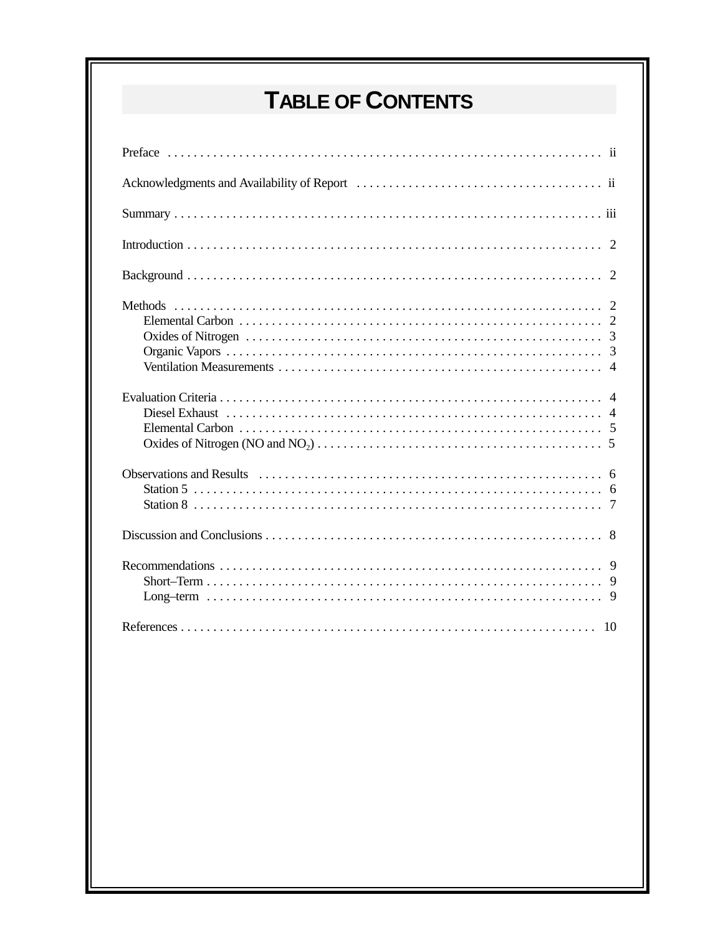# TABLE OF CONTENTS

| -9 |
|----|
|    |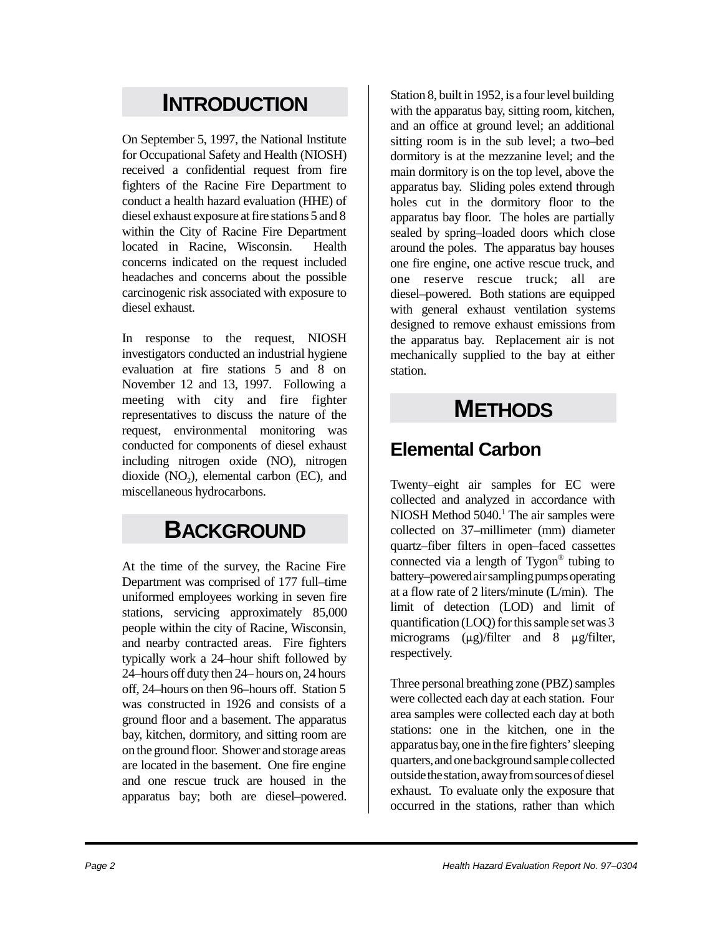### **INTRODUCTION**

On September 5, 1997, the National Institute for Occupational Safety and Health (NIOSH) received a confidential request from fire fighters of the Racine Fire Department to conduct a health hazard evaluation (HHE) of diesel exhaust exposure at fire stations 5 and 8 within the City of Racine Fire Department located in Racine, Wisconsin. Health concerns indicated on the request included headaches and concerns about the possible carcinogenic risk associated with exposure to diesel exhaust.

In response to the request, NIOSH investigators conducted an industrial hygiene evaluation at fire stations 5 and 8 on November 12 and 13, 1997. Following a meeting with city and fire fighter representatives to discuss the nature of the request, environmental monitoring was conducted for components of diesel exhaust including nitrogen oxide (NO), nitrogen dioxide  $(NO<sub>2</sub>)$ , elemental carbon  $(EC)$ , and miscellaneous hydrocarbons.

### **BACKGROUND**

At the time of the survey, the Racine Fire Department was comprised of 177 full–time uniformed employees working in seven fire stations, servicing approximately 85,000 people within the city of Racine, Wisconsin, and nearby contracted areas. Fire fighters typically work a 24–hour shift followed by 24–hours off duty then 24– hours on, 24 hours off, 24–hours on then 96–hours off. Station 5 was constructed in 1926 and consists of a ground floor and a basement. The apparatus bay, kitchen, dormitory, and sitting room are on the ground floor. Shower and storage areas are located in the basement. One fire engine and one rescue truck are housed in the apparatus bay; both are diesel–powered.

Station 8, built in 1952, is a four level building with the apparatus bay, sitting room, kitchen, and an office at ground level; an additional sitting room is in the sub level; a two–bed dormitory is at the mezzanine level; and the main dormitory is on the top level, above the apparatus bay. Sliding poles extend through holes cut in the dormitory floor to the apparatus bay floor. The holes are partially sealed by spring–loaded doors which close around the poles. The apparatus bay houses one fire engine, one active rescue truck, and one reserve rescue truck; all are diesel–powered. Both stations are equipped with general exhaust ventilation systems designed to remove exhaust emissions from the apparatus bay. Replacement air is not mechanically supplied to the bay at either station.

### **METHODS**

#### **Elemental Carbon**

Twenty–eight air samples for EC were collected and analyzed in accordance with NIOSH Method 5040.<sup>1</sup> The air samples were collected on 37–millimeter (mm) diameter quartz–fiber filters in open–faced cassettes connected via a length of Tygon® tubing to battery–powered air sampling pumps operating at a flow rate of 2 liters/minute (L/min). The limit of detection (LOD) and limit of quantification (LOQ) for this sample set was 3 micrograms  $(\mu g)/f$ ilter and 8  $\mu g/f$ ilter, respectively.

Three personal breathing zone (PBZ) samples were collected each day at each station. Four area samples were collected each day at both stations: one in the kitchen, one in the apparatus bay, one in the fire fighters' sleeping quarters, and one background sample collected outside the station, away from sources of diesel exhaust. To evaluate only the exposure that occurred in the stations, rather than which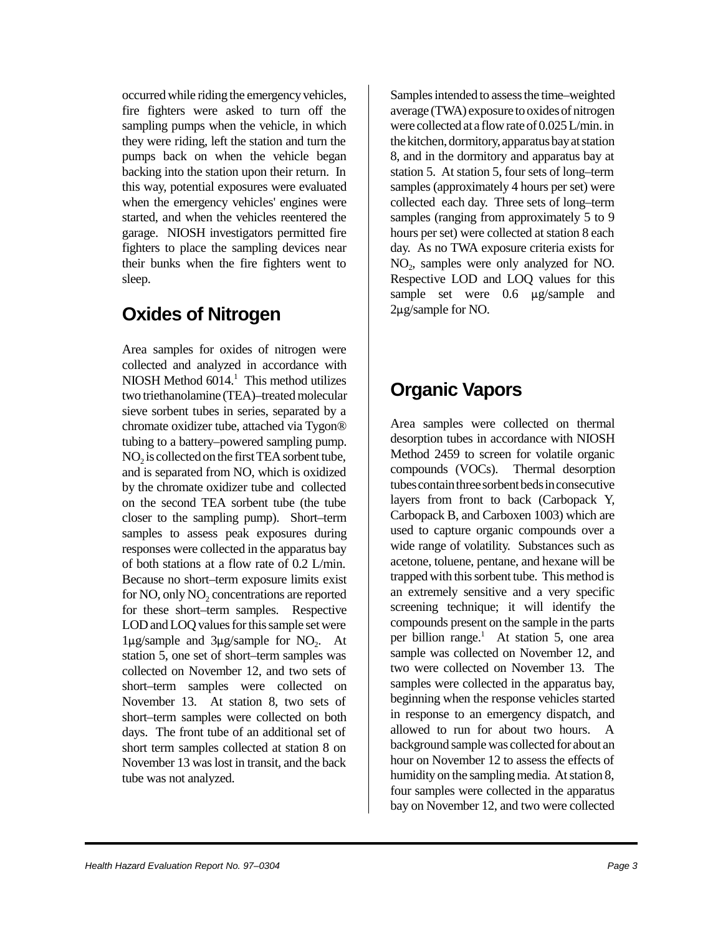occurred while riding the emergency vehicles, fire fighters were asked to turn off the sampling pumps when the vehicle, in which they were riding, left the station and turn the pumps back on when the vehicle began backing into the station upon their return. In this way, potential exposures were evaluated when the emergency vehicles' engines were started, and when the vehicles reentered the garage. NIOSH investigators permitted fire fighters to place the sampling devices near their bunks when the fire fighters went to sleep.

#### **Oxides of Nitrogen**

Area samples for oxides of nitrogen were collected and analyzed in accordance with NIOSH Method 6014.<sup>1</sup> This method utilizes two triethanolamine (TEA)–treated molecular sieve sorbent tubes in series, separated by a chromate oxidizer tube, attached via Tygon® tubing to a battery–powered sampling pump. NO<sub>2</sub> is collected on the first TEA sorbent tube, and is separated from NO, which is oxidized by the chromate oxidizer tube and collected on the second TEA sorbent tube (the tube closer to the sampling pump). Short–term samples to assess peak exposures during responses were collected in the apparatus bay of both stations at a flow rate of 0.2 L/min. Because no short–term exposure limits exist for NO, only  $NO<sub>2</sub>$  concentrations are reported for these short–term samples. Respective LOD and LOQ values for this sample set were  $1\mu$ g/sample and  $3\mu$ g/sample for NO<sub>2</sub>. At station 5, one set of short–term samples was collected on November 12, and two sets of short–term samples were collected on November 13. At station 8, two sets of short–term samples were collected on both days. The front tube of an additional set of short term samples collected at station 8 on November 13 was lost in transit, and the back tube was not analyzed.

Samples intended to assess the time–weighted average (TWA) exposure to oxides of nitrogen were collected at a flow rate of 0.025 L/min. in the kitchen, dormitory, apparatus bay at station 8, and in the dormitory and apparatus bay at station 5. At station 5, four sets of long–term samples (approximately 4 hours per set) were collected each day. Three sets of long–term samples (ranging from approximately 5 to 9) hours per set) were collected at station 8 each day. As no TWA exposure criteria exists for NO<sub>2</sub>, samples were only analyzed for NO. Respective LOD and LOQ values for this sample set were  $0.6 \mu$ g/sample and  $2\mu$ g/sample for NO.

#### **Organic Vapors**

Area samples were collected on thermal desorption tubes in accordance with NIOSH Method 2459 to screen for volatile organic compounds (VOCs). Thermal desorption tubes contain three sorbent beds in consecutive layers from front to back (Carbopack Y, Carbopack B, and Carboxen 1003) which are used to capture organic compounds over a wide range of volatility. Substances such as acetone, toluene, pentane, and hexane will be trapped with this sorbent tube. This method is an extremely sensitive and a very specific screening technique; it will identify the compounds present on the sample in the parts per billion range.<sup>1</sup> At station 5, one area sample was collected on November 12, and two were collected on November 13. The samples were collected in the apparatus bay, beginning when the response vehicles started in response to an emergency dispatch, and allowed to run for about two hours. A background sample was collected for about an hour on November 12 to assess the effects of humidity on the sampling media. At station 8, four samples were collected in the apparatus bay on November 12, and two were collected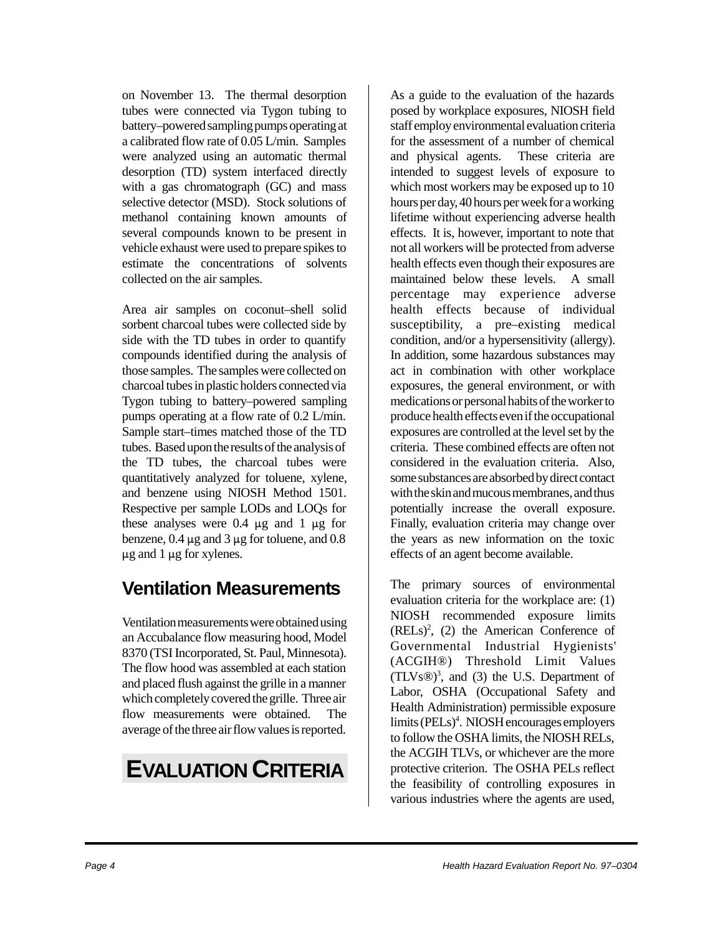on November 13. The thermal desorption tubes were connected via Tygon tubing to battery–powered sampling pumps operating at a calibrated flow rate of 0.05 L/min. Samples were analyzed using an automatic thermal desorption (TD) system interfaced directly with a gas chromatograph (GC) and mass selective detector (MSD). Stock solutions of methanol containing known amounts of several compounds known to be present in vehicle exhaust were used to prepare spikes to estimate the concentrations of solvents collected on the air samples.

Area air samples on coconut–shell solid sorbent charcoal tubes were collected side by side with the TD tubes in order to quantify compounds identified during the analysis of those samples. The samples were collected on charcoal tubes in plastic holders connected via Tygon tubing to battery–powered sampling pumps operating at a flow rate of 0.2 L/min. Sample start–times matched those of the TD tubes. Based upon the results of the analysis of the TD tubes, the charcoal tubes were quantitatively analyzed for toluene, xylene, and benzene using NIOSH Method 1501. Respective per sample LODs and LOQs for these analyses were  $0.4 \mu$ g and 1  $\mu$ g for benzene,  $0.4 \mu$ g and  $3 \mu$ g for toluene, and  $0.8$  $\mu$ g and 1  $\mu$ g for xylenes.

#### **Ventilation Measurements**

Ventilation measurements were obtained using an Accubalance flow measuring hood, Model 8370 (TSI Incorporated, St. Paul, Minnesota). The flow hood was assembled at each station and placed flush against the grille in a manner which completely covered the grille. Three air flow measurements were obtained. The average of the three air flow values is reported.

### **EVALUATION CRITERIA**

As a guide to the evaluation of the hazards posed by workplace exposures, NIOSH field staff employ environmental evaluation criteria for the assessment of a number of chemical and physical agents. These criteria are intended to suggest levels of exposure to which most workers may be exposed up to 10 hours per day, 40 hours per week for a working lifetime without experiencing adverse health effects. It is, however, important to note that not all workers will be protected from adverse health effects even though their exposures are maintained below these levels. A small percentage may experience adverse health effects because of individual susceptibility, a pre–existing medical condition, and/or a hypersensitivity (allergy). In addition, some hazardous substances may act in combination with other workplace exposures, the general environment, or with medications or personal habits of the worker to produce health effects even if the occupational exposures are controlled at the level set by the criteria. These combined effects are often not considered in the evaluation criteria. Also, some substances are absorbed by direct contact with the skin and mucous membranes, and thus potentially increase the overall exposure. Finally, evaluation criteria may change over the years as new information on the toxic effects of an agent become available.

The primary sources of environmental evaluation criteria for the workplace are: (1) NIOSH recommended exposure limits  $(RELs)<sup>2</sup>$ , (2) the American Conference of Governmental Industrial Hygienists' (ACGIH®) Threshold Limit Values  $(TLVs@)^3$ , and (3) the U.S. Department of Labor, OSHA (Occupational Safety and Health Administration) permissible exposure  $limits (PELs)<sup>4</sup>$ . NIOSH encourages employers to follow the OSHA limits, the NIOSH RELs, the ACGIH TLVs, or whichever are the more protective criterion. The OSHA PELs reflect the feasibility of controlling exposures in various industries where the agents are used,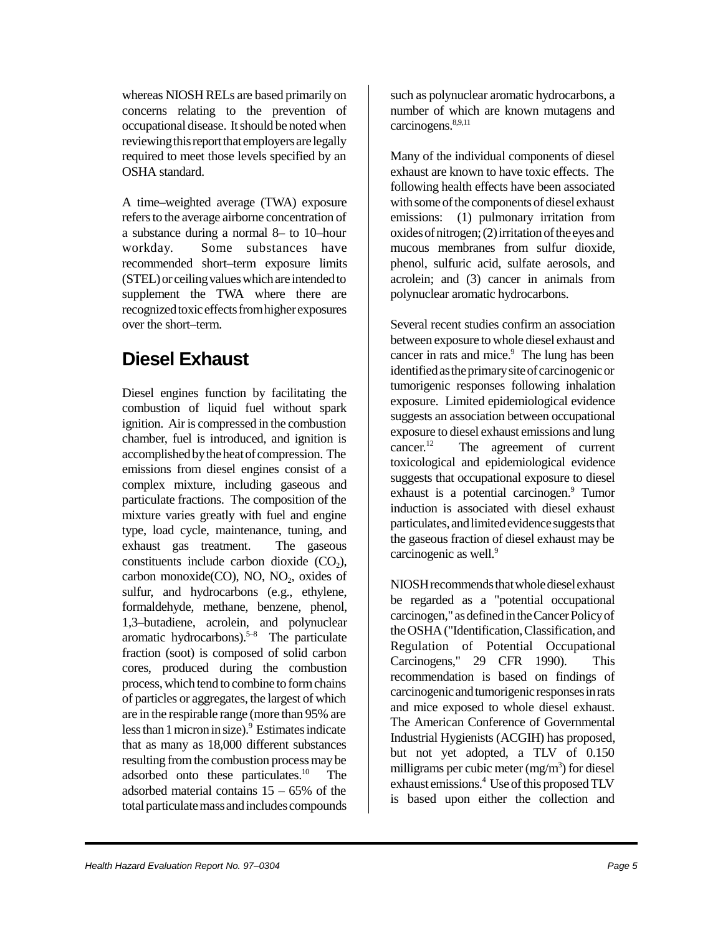whereas NIOSH RELs are based primarily on concerns relating to the prevention of occupational disease. It should be noted when reviewing this report that employers are legally required to meet those levels specified by an OSHA standard.

A time–weighted average (TWA) exposure refers to the average airborne concentration of a substance during a normal 8– to 10–hour workday. Some substances have recommended short–term exposure limits (STEL) or ceiling values which are intended to supplement the TWA where there are recognized toxic effects from higher exposures over the short–term.

#### **Diesel Exhaust**

Diesel engines function by facilitating the combustion of liquid fuel without spark ignition. Air is compressed in the combustion chamber, fuel is introduced, and ignition is accomplished by the heat of compression. The emissions from diesel engines consist of a complex mixture, including gaseous and particulate fractions. The composition of the mixture varies greatly with fuel and engine type, load cycle, maintenance, tuning, and exhaust gas treatment. The gaseous constituents include carbon dioxide  $(CO<sub>2</sub>)$ , carbon monoxide(CO), NO, NO<sub>2</sub>, oxides of sulfur, and hydrocarbons (e.g., ethylene, formaldehyde, methane, benzene, phenol, 1,3–butadiene, acrolein, and polynuclear aromatic hydrocarbons).<sup>5–8</sup> The particulate fraction (soot) is composed of solid carbon cores, produced during the combustion process, which tend to combine to form chains of particles or aggregates, the largest of which are in the respirable range (more than 95% are less than 1 micron in size).<sup>9</sup> Estimates indicate that as many as 18,000 different substances resulting from the combustion process may be adsorbed onto these particulates.10 The adsorbed material contains  $15 - 65%$  of the total particulate mass and includes compounds

such as polynuclear aromatic hydrocarbons, a number of which are known mutagens and carcinogens.<sup>8,9,11</sup>

Many of the individual components of diesel exhaust are known to have toxic effects. The following health effects have been associated with some of the components of diesel exhaust emissions: (1) pulmonary irritation from oxides of nitrogen; (2) irritation of the eyes and mucous membranes from sulfur dioxide, phenol, sulfuric acid, sulfate aerosols, and acrolein; and (3) cancer in animals from polynuclear aromatic hydrocarbons.

Several recent studies confirm an association between exposure to whole diesel exhaust and cancer in rats and mice.<sup>9</sup> The lung has been identified as the primary site of carcinogenic or tumorigenic responses following inhalation exposure. Limited epidemiological evidence suggests an association between occupational exposure to diesel exhaust emissions and lung cancer.12 The agreement of current toxicological and epidemiological evidence suggests that occupational exposure to diesel exhaust is a potential carcinogen.<sup>9</sup> Tumor induction is associated with diesel exhaust particulates, and limited evidence suggests that the gaseous fraction of diesel exhaust may be carcinogenic as well.<sup>9</sup>

NIOSH recommends that whole diesel exhaust be regarded as a "potential occupational carcinogen," as defined in the Cancer Policy of the OSHA ("Identification, Classification, and Regulation of Potential Occupational Carcinogens," 29 CFR 1990). This recommendation is based on findings of carcinogenic and tumorigenic responses in rats and mice exposed to whole diesel exhaust. The American Conference of Governmental Industrial Hygienists (ACGIH) has proposed, but not yet adopted, a TLV of 0.150 milligrams per cubic meter (mg/m<sup>3</sup>) for diesel exhaust emissions.4 Use of this proposed TLV is based upon either the collection and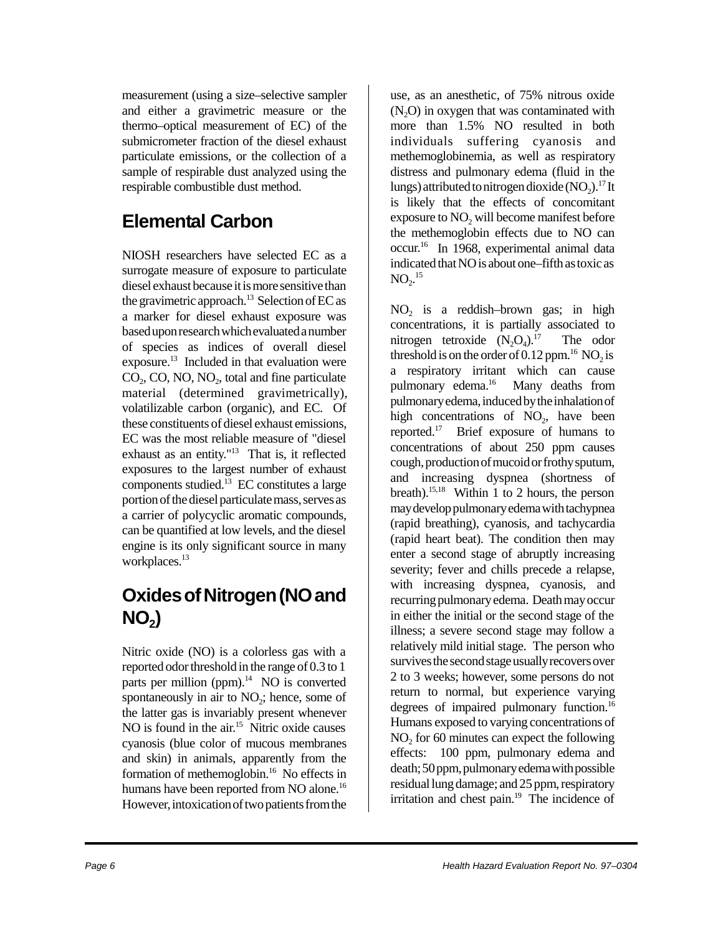measurement (using a size–selective sampler and either a gravimetric measure or the thermo–optical measurement of EC) of the submicrometer fraction of the diesel exhaust particulate emissions, or the collection of a sample of respirable dust analyzed using the respirable combustible dust method.

### **Elemental Carbon**

NIOSH researchers have selected EC as a surrogate measure of exposure to particulate diesel exhaust because it is more sensitive than the gravimetric approach.<sup>13</sup> Selection of EC as a marker for diesel exhaust exposure was based upon research which evaluated a number of species as indices of overall diesel exposure.<sup>13</sup> Included in that evaluation were  $CO<sub>2</sub>$ ,  $CO$ ,  $NO$ ,  $NO<sub>2</sub>$ , total and fine particulate material (determined gravimetrically), volatilizable carbon (organic), and EC. Of these constituents of diesel exhaust emissions, EC was the most reliable measure of "diesel exhaust as an entity."13 That is, it reflected exposures to the largest number of exhaust components studied.13 EC constitutes a large portion of the diesel particulate mass, serves as a carrier of polycyclic aromatic compounds, can be quantified at low levels, and the diesel engine is its only significant source in many workplaces.<sup>13</sup>

### **Oxides of Nitrogen (NO and NO<sub>2</sub>**)

Nitric oxide (NO) is a colorless gas with a reported odor threshold in the range of 0.3 to 1 parts per million (ppm). $^{14}$  NO is converted spontaneously in air to  $NO<sub>2</sub>$ ; hence, some of the latter gas is invariably present whenever NO is found in the air.<sup>15</sup> Nitric oxide causes cyanosis (blue color of mucous membranes and skin) in animals, apparently from the formation of methemoglobin.<sup>16</sup> No effects in humans have been reported from NO alone.<sup>16</sup> However, intoxication of two patients from the

use, as an anesthetic, of 75% nitrous oxide  $(N<sub>2</sub>O)$  in oxygen that was contaminated with more than 1.5% NO resulted in both individuals suffering cyanosis and methemoglobinemia, as well as respiratory distress and pulmonary edema (fluid in the lungs) attributed to nitrogen dioxide  $(NO<sub>2</sub>)$ .<sup>17</sup> It is likely that the effects of concomitant exposure to NO<sub>2</sub> will become manifest before the methemoglobin effects due to NO can occur.16 In 1968, experimental animal data indicated that NO is about one–fifth as toxic as  $NO<sub>2</sub>$ .<sup>15</sup>

NO<sub>2</sub> is a reddish–brown gas; in high concentrations, it is partially associated to nitrogen tetroxide  $(N_2O_4)^{17}$  The odor threshold is on the order of 0.12 ppm.<sup>16</sup> NO<sub>2</sub> is a respiratory irritant which can cause pulmonary edema.16 Many deaths from pulmonary edema, induced by the inhalation of high concentrations of  $NO<sub>2</sub>$ , have been reported.17 Brief exposure of humans to concentrations of about 250 ppm causes cough, production of mucoid or frothy sputum, and increasing dyspnea (shortness of breath).15,18 Within 1 to 2 hours, the person may develop pulmonary edema with tachypnea (rapid breathing), cyanosis, and tachycardia (rapid heart beat). The condition then may enter a second stage of abruptly increasing severity; fever and chills precede a relapse, with increasing dyspnea, cyanosis, and recurring pulmonary edema. Death may occur in either the initial or the second stage of the illness; a severe second stage may follow a relatively mild initial stage. The person who survives the second stage usually recovers over 2 to 3 weeks; however, some persons do not return to normal, but experience varying degrees of impaired pulmonary function.<sup>16</sup> Humans exposed to varying concentrations of NO<sub>2</sub> for 60 minutes can expect the following effects: 100 ppm, pulmonary edema and death; 50 ppm, pulmonary edema with possible residual lung damage; and 25 ppm, respiratory irritation and chest pain.<sup>19</sup> The incidence of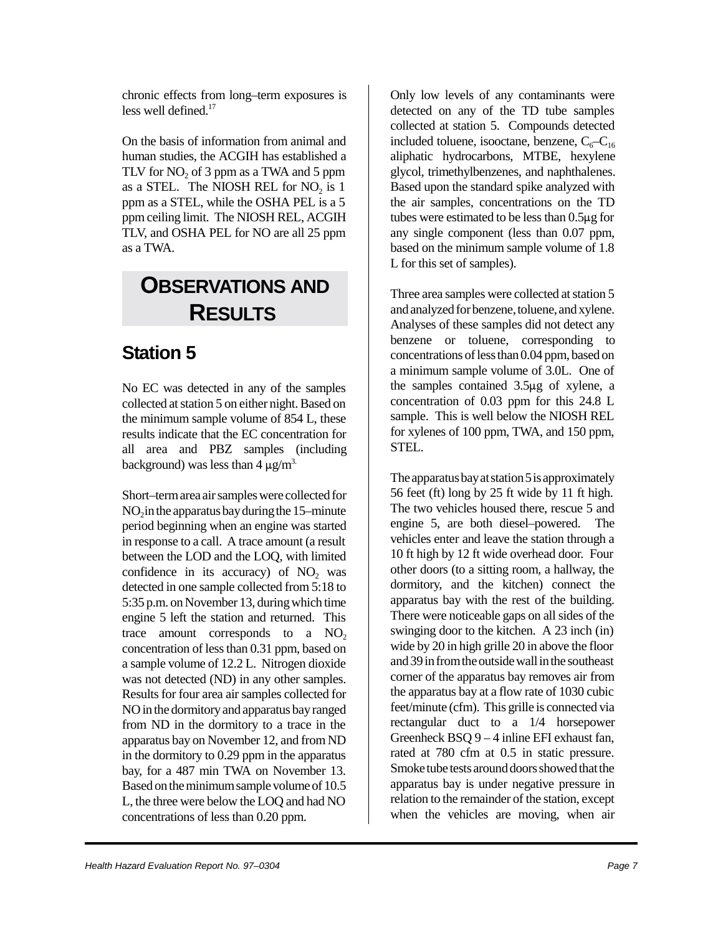chronic effects from long–term exposures is less well defined.17

On the basis of information from animal and human studies, the ACGIH has established a TLV for  $NO<sub>2</sub>$  of 3 ppm as a TWA and 5 ppm as a STEL. The NIOSH REL for  $NO<sub>2</sub>$  is 1 ppm as a STEL, while the OSHA PEL is a 5 ppm ceiling limit. The NIOSH REL, ACGIH TLV, and OSHA PEL for NO are all 25 ppm as a TWA.

# **OBSERVATIONS AND RESULTS**

#### **Station 5**

No EC was detected in any of the samples collected at station 5 on either night. Based on the minimum sample volume of 854 L, these results indicate that the EC concentration for all area and PBZ samples (including background) was less than  $4 \mu g/m^3$ .

Short–term area air samples were collected for  $NO<sub>2</sub>$  in the apparatus bay during the 15–minute period beginning when an engine was started in response to a call. A trace amount (a result between the LOD and the LOQ, with limited confidence in its accuracy) of  $NO<sub>2</sub>$  was detected in one sample collected from 5:18 to 5:35 p.m. on November 13, during which time engine 5 left the station and returned. This trace amount corresponds to a  $NO<sub>2</sub>$ concentration of less than 0.31 ppm, based on a sample volume of 12.2 L. Nitrogen dioxide was not detected (ND) in any other samples. Results for four area air samples collected for NO in the dormitory and apparatus bay ranged from ND in the dormitory to a trace in the apparatus bay on November 12, and from ND in the dormitory to 0.29 ppm in the apparatus bay, for a 487 min TWA on November 13. Based on the minimum sample volume of 10.5 L, the three were below the LOQ and had NO concentrations of less than 0.20 ppm.

Only low levels of any contaminants were detected on any of the TD tube samples collected at station 5. Compounds detected included toluene, isooctane, benzene,  $C_6-C_{16}$ aliphatic hydrocarbons, MTBE, hexylene glycol, trimethylbenzenes, and naphthalenes. Based upon the standard spike analyzed with the air samples, concentrations on the TD tubes were estimated to be less than  $0.5\mu$ g for any single component (less than 0.07 ppm, based on the minimum sample volume of 1.8 L for this set of samples).

Three area samples were collected at station 5 and analyzed for benzene, toluene, and xylene. Analyses of these samples did not detect any benzene or toluene, corresponding to concentrations of less than 0.04 ppm, based on a minimum sample volume of 3.0L. One of the samples contained  $3.5\mu$ g of xylene, a concentration of 0.03 ppm for this 24.8 L sample. This is well below the NIOSH REL for xylenes of 100 ppm, TWA, and 150 ppm, STEL.

The apparatus bay at station 5 is approximately 56 feet (ft) long by 25 ft wide by 11 ft high. The two vehicles housed there, rescue 5 and engine 5, are both diesel–powered. The vehicles enter and leave the station through a 10 ft high by 12 ft wide overhead door. Four other doors (to a sitting room, a hallway, the dormitory, and the kitchen) connect the apparatus bay with the rest of the building. There were noticeable gaps on all sides of the swinging door to the kitchen. A 23 inch (in) wide by 20 in high grille 20 in above the floor and 39 in from the outside wall in the southeast corner of the apparatus bay removes air from the apparatus bay at a flow rate of 1030 cubic feet/minute (cfm). This grille is connected via rectangular duct to a 1/4 horsepower Greenheck BSQ 9 – 4 inline EFI exhaust fan, rated at 780 cfm at 0.5 in static pressure. Smoke tube tests around doors showed that the apparatus bay is under negative pressure in relation to the remainder of the station, except when the vehicles are moving, when air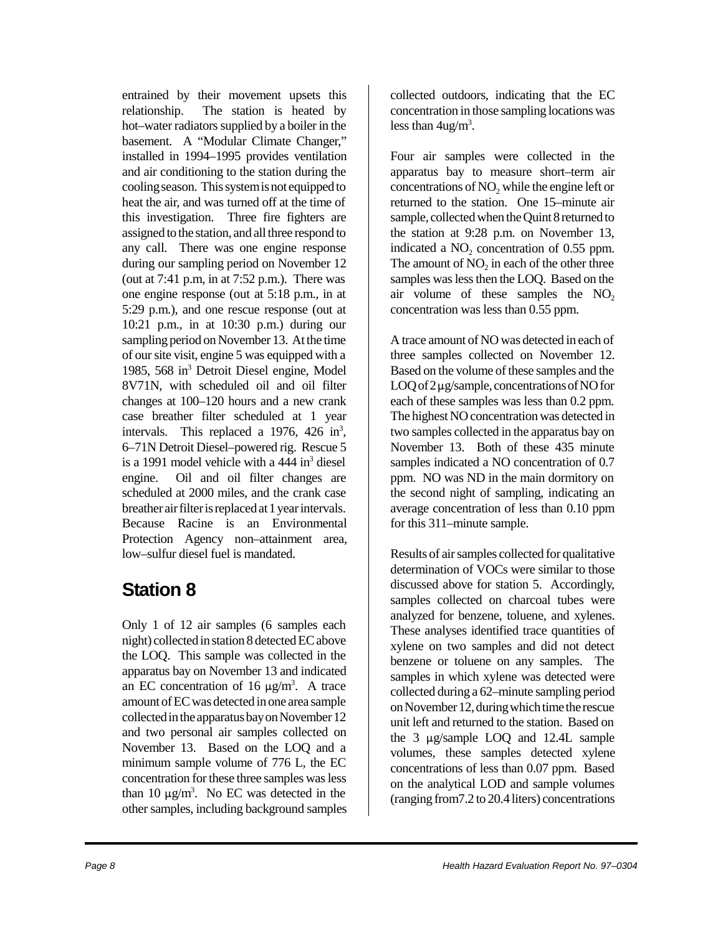entrained by their movement upsets this relationship. The station is heated by hot–water radiators supplied by a boiler in the basement. A "Modular Climate Changer," installed in 1994–1995 provides ventilation and air conditioning to the station during the cooling season. This system is not equipped to heat the air, and was turned off at the time of this investigation. Three fire fighters are assigned to the station, and all three respond to any call. There was one engine response during our sampling period on November 12 (out at 7:41 p.m, in at 7:52 p.m.). There was one engine response (out at 5:18 p.m., in at 5:29 p.m.), and one rescue response (out at 10:21 p.m., in at 10:30 p.m.) during our sampling period on November 13. At the time of our site visit, engine 5 was equipped with a 1985, 568 in<sup>3</sup> Detroit Diesel engine, Model 8V71N, with scheduled oil and oil filter changes at 100–120 hours and a new crank case breather filter scheduled at 1 year intervals. This replaced a 1976,  $426$  in<sup>3</sup>, 6–71N Detroit Diesel–powered rig. Rescue 5 is a 1991 model vehicle with a  $444$  in<sup>3</sup> diesel engine. Oil and oil filter changes are scheduled at 2000 miles, and the crank case breather air filter is replaced at 1 year intervals. Because Racine is an Environmental Protection Agency non–attainment area, low–sulfur diesel fuel is mandated.

### **Station 8**

Only 1 of 12 air samples (6 samples each night) collected in station 8 detected EC above the LOQ. This sample was collected in the apparatus bay on November 13 and indicated an EC concentration of 16  $\mu$ g/m<sup>3</sup>. A trace amount of EC was detected in one area sample collected in the apparatus bay on November 12 and two personal air samples collected on November 13. Based on the LOQ and a minimum sample volume of 776 L, the EC concentration for these three samples was less than 10  $\mu$ g/m<sup>3</sup>. No EC was detected in the other samples, including background samples

collected outdoors, indicating that the EC concentration in those sampling locations was less than  $4\mu g/m^3$ .

Four air samples were collected in the apparatus bay to measure short–term air concentrations of  $NO<sub>2</sub>$  while the engine left or returned to the station. One 15–minute air sample, collected when the Quint 8 returned to the station at 9:28 p.m. on November 13, indicated a  $NO<sub>2</sub>$  concentration of 0.55 ppm. The amount of  $NO<sub>2</sub>$  in each of the other three samples was less then the LOQ. Based on the air volume of these samples the  $NO<sub>2</sub>$ concentration was less than 0.55 ppm.

A trace amount of NO was detected in each of three samples collected on November 12. Based on the volume of these samples and the  $LOO$  of  $2 \mu$ g/sample, concentrations of NO for each of these samples was less than 0.2 ppm. The highest NO concentration was detected in two samples collected in the apparatus bay on November 13. Both of these 435 minute samples indicated a NO concentration of 0.7 ppm. NO was ND in the main dormitory on the second night of sampling, indicating an average concentration of less than 0.10 ppm for this 311–minute sample.

Results of air samples collected for qualitative determination of VOCs were similar to those discussed above for station 5. Accordingly, samples collected on charcoal tubes were analyzed for benzene, toluene, and xylenes. These analyses identified trace quantities of xylene on two samples and did not detect benzene or toluene on any samples. The samples in which xylene was detected were collected during a 62–minute sampling period on November 12, during which time the rescue unit left and returned to the station. Based on the  $3 \mu$ g/sample LOQ and 12.4L sample volumes, these samples detected xylene concentrations of less than 0.07 ppm. Based on the analytical LOD and sample volumes (ranging from7.2 to 20.4 liters) concentrations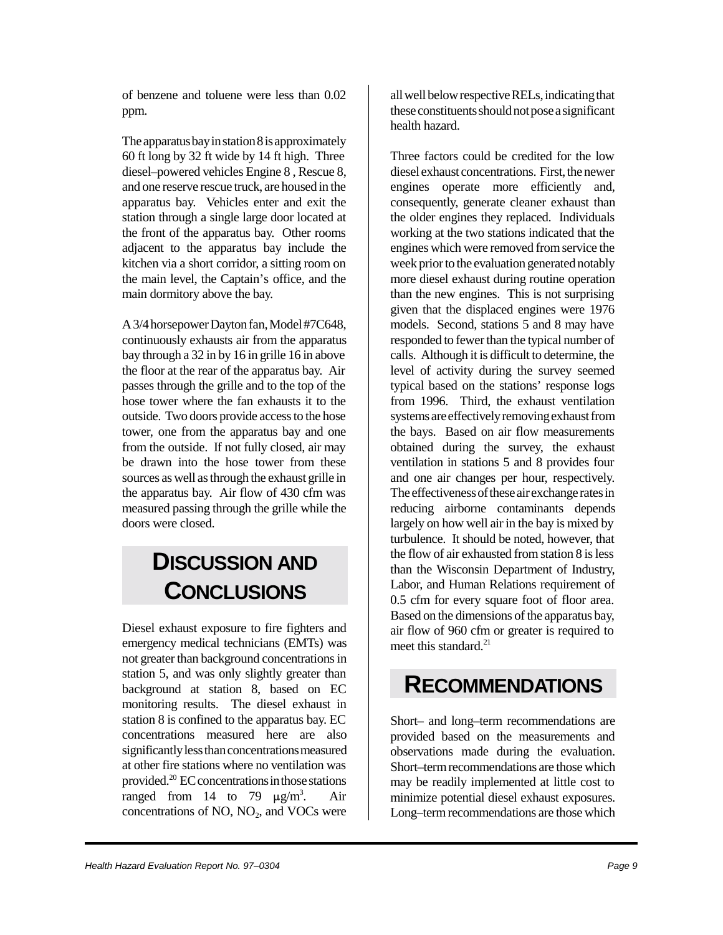of benzene and toluene were less than 0.02 ppm.

The apparatus bay in station 8 is approximately 60 ft long by 32 ft wide by 14 ft high. Three diesel–powered vehicles Engine 8 , Rescue 8, and one reserve rescue truck, are housed in the apparatus bay. Vehicles enter and exit the station through a single large door located at the front of the apparatus bay. Other rooms adjacent to the apparatus bay include the kitchen via a short corridor, a sitting room on the main level, the Captain's office, and the main dormitory above the bay.

A 3/4 horsepower Dayton fan, Model #7C648, continuously exhausts air from the apparatus bay through a 32 in by 16 in grille 16 in above the floor at the rear of the apparatus bay. Air passes through the grille and to the top of the hose tower where the fan exhausts it to the outside. Two doors provide access to the hose tower, one from the apparatus bay and one from the outside. If not fully closed, air may be drawn into the hose tower from these sources as well as through the exhaust grille in the apparatus bay. Air flow of 430 cfm was measured passing through the grille while the doors were closed.

# **DISCUSSION AND CONCLUSIONS**

Diesel exhaust exposure to fire fighters and emergency medical technicians (EMTs) was not greater than background concentrations in station 5, and was only slightly greater than background at station 8, based on EC monitoring results. The diesel exhaust in station 8 is confined to the apparatus bay. EC concentrations measured here are also significantly less than concentrations measured at other fire stations where no ventilation was provided.20 EC concentrations in those stations ranged from 14 to 79  $\mu$ g/m<sup>3</sup>. . Air concentrations of  $NO$ ,  $NO<sub>2</sub>$ , and  $VOCs$  were

all well below respective RELs, indicating that these constituents should not pose a significant health hazard.

Three factors could be credited for the low diesel exhaust concentrations. First, the newer engines operate more efficiently and, consequently, generate cleaner exhaust than the older engines they replaced. Individuals working at the two stations indicated that the engines which were removed from service the week prior to the evaluation generated notably more diesel exhaust during routine operation than the new engines. This is not surprising given that the displaced engines were 1976 models. Second, stations 5 and 8 may have responded to fewer than the typical number of calls. Although it is difficult to determine, the level of activity during the survey seemed typical based on the stations' response logs from 1996. Third, the exhaust ventilation systems are effectively removing exhaust from the bays. Based on air flow measurements obtained during the survey, the exhaust ventilation in stations 5 and 8 provides four and one air changes per hour, respectively. The effectiveness of these air exchange rates in reducing airborne contaminants depends largely on how well air in the bay is mixed by turbulence. It should be noted, however, that the flow of air exhausted from station 8 is less than the Wisconsin Department of Industry, Labor, and Human Relations requirement of 0.5 cfm for every square foot of floor area. Based on the dimensions of the apparatus bay, air flow of 960 cfm or greater is required to meet this standard.<sup>21</sup>

### **RECOMMENDATIONS**

Short– and long–term recommendations are provided based on the measurements and observations made during the evaluation. Short–term recommendations are those which may be readily implemented at little cost to minimize potential diesel exhaust exposures. Long–term recommendations are those which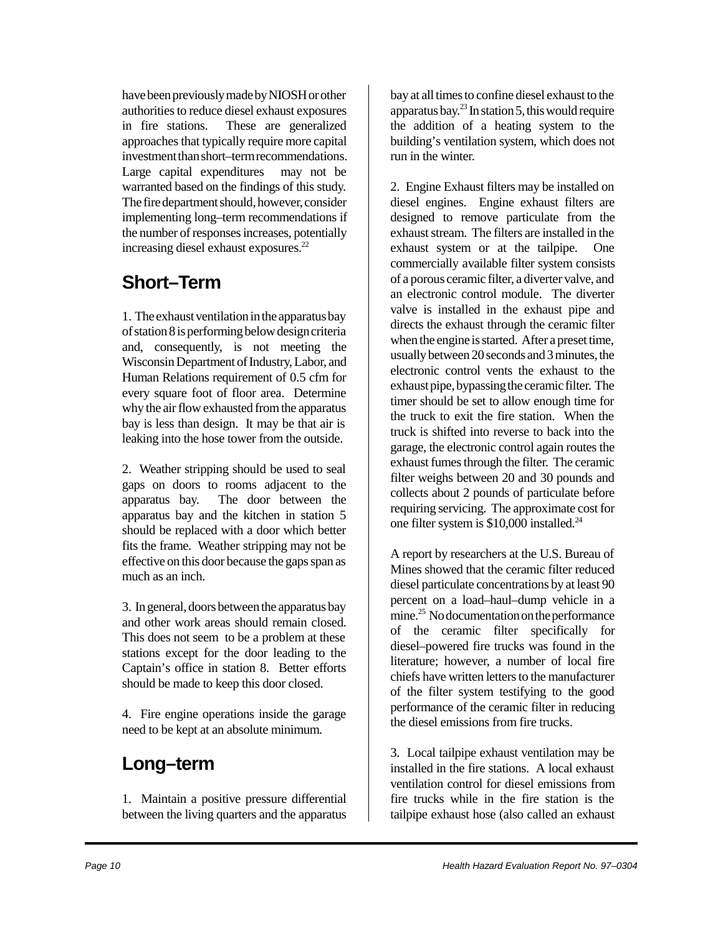have been previously made by NIOSH or other authorities to reduce diesel exhaust exposures in fire stations. These are generalized approaches that typically require more capital investment than short–term recommendations. Large capital expenditures may not be warranted based on the findings of this study. The fire department should, however, consider implementing long–term recommendations if the number of responses increases, potentially increasing diesel exhaust exposures.<sup>22</sup>

#### **Short–Term**

1. The exhaust ventilation in the apparatus bay of station 8 is performing below design criteria and, consequently, is not meeting the Wisconsin Department of Industry, Labor, and Human Relations requirement of 0.5 cfm for every square foot of floor area. Determine why the air flow exhausted from the apparatus bay is less than design. It may be that air is leaking into the hose tower from the outside.

2. Weather stripping should be used to seal gaps on doors to rooms adjacent to the apparatus bay. The door between the apparatus bay and the kitchen in station 5 should be replaced with a door which better fits the frame. Weather stripping may not be effective on this door because the gaps span as much as an inch.

3. In general, doors between the apparatus bay and other work areas should remain closed. This does not seem to be a problem at these stations except for the door leading to the Captain's office in station 8. Better efforts should be made to keep this door closed.

4. Fire engine operations inside the garage need to be kept at an absolute minimum.

### **Long–term**

1. Maintain a positive pressure differential between the living quarters and the apparatus bay at all times to confine diesel exhaust to the apparatus bay.<sup>23</sup> In station 5, this would require the addition of a heating system to the building's ventilation system, which does not run in the winter.

2. Engine Exhaust filters may be installed on diesel engines. Engine exhaust filters are designed to remove particulate from the exhaust stream. The filters are installed in the exhaust system or at the tailpipe. One commercially available filter system consists of a porous ceramic filter, a diverter valve, and an electronic control module. The diverter valve is installed in the exhaust pipe and directs the exhaust through the ceramic filter when the engine is started. After a preset time, usually between 20 seconds and 3 minutes, the electronic control vents the exhaust to the exhaust pipe, bypassing the ceramic filter. The timer should be set to allow enough time for the truck to exit the fire station. When the truck is shifted into reverse to back into the garage, the electronic control again routes the exhaust fumes through the filter. The ceramic filter weighs between 20 and 30 pounds and collects about 2 pounds of particulate before requiring servicing. The approximate cost for one filter system is \$10,000 installed.24

A report by researchers at the U.S. Bureau of Mines showed that the ceramic filter reduced diesel particulate concentrations by at least 90 percent on a load–haul–dump vehicle in a mine.<sup>25</sup> No documentation on the performance of the ceramic filter specifically for diesel–powered fire trucks was found in the literature; however, a number of local fire chiefs have written letters to the manufacturer of the filter system testifying to the good performance of the ceramic filter in reducing the diesel emissions from fire trucks.

3. Local tailpipe exhaust ventilation may be installed in the fire stations. A local exhaust ventilation control for diesel emissions from fire trucks while in the fire station is the tailpipe exhaust hose (also called an exhaust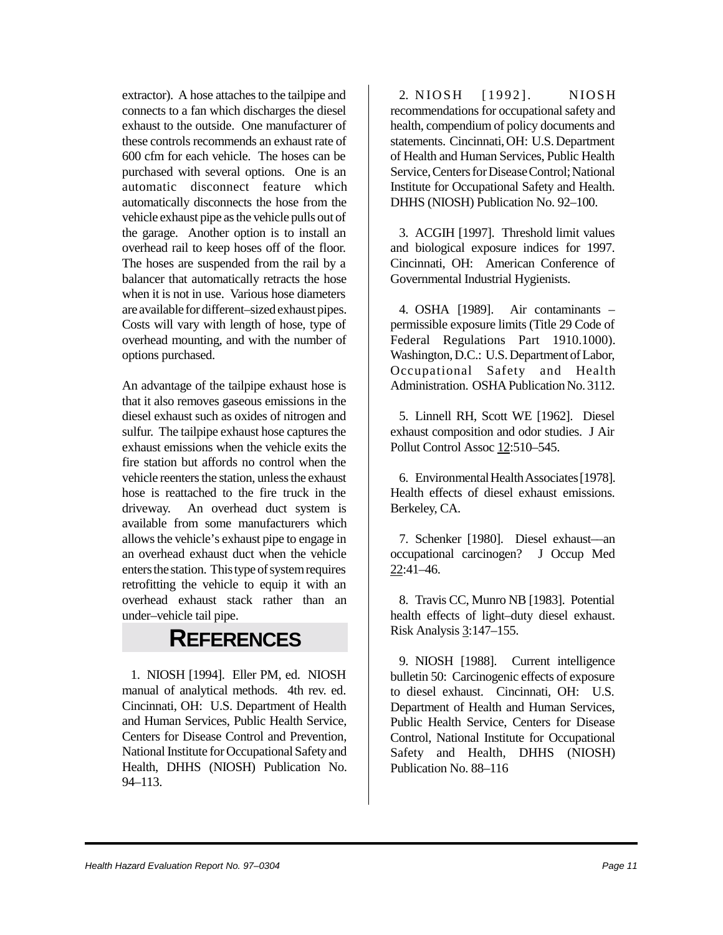extractor). A hose attaches to the tailpipe and connects to a fan which discharges the diesel exhaust to the outside. One manufacturer of these controls recommends an exhaust rate of 600 cfm for each vehicle. The hoses can be purchased with several options. One is an automatic disconnect feature which automatically disconnects the hose from the vehicle exhaust pipe as the vehicle pulls out of the garage. Another option is to install an overhead rail to keep hoses off of the floor. The hoses are suspended from the rail by a balancer that automatically retracts the hose when it is not in use. Various hose diameters are available for different–sized exhaust pipes. Costs will vary with length of hose, type of overhead mounting, and with the number of options purchased.

An advantage of the tailpipe exhaust hose is that it also removes gaseous emissions in the diesel exhaust such as oxides of nitrogen and sulfur. The tailpipe exhaust hose captures the exhaust emissions when the vehicle exits the fire station but affords no control when the vehicle reenters the station, unless the exhaust hose is reattached to the fire truck in the driveway. An overhead duct system is available from some manufacturers which allows the vehicle's exhaust pipe to engage in an overhead exhaust duct when the vehicle enters the station. This type of system requires retrofitting the vehicle to equip it with an overhead exhaust stack rather than an under–vehicle tail pipe.

#### **REFERENCES**

1. NIOSH [1994]. Eller PM, ed. NIOSH manual of analytical methods. 4th rev. ed. Cincinnati, OH: U.S. Department of Health and Human Services, Public Health Service, Centers for Disease Control and Prevention, National Institute for Occupational Safety and Health, DHHS (NIOSH) Publication No. 94–113.

2. NIOSH [1992]. NIOSH recommendations for occupational safety and health, compendium of policy documents and statements. Cincinnati, OH: U.S. Department of Health and Human Services, Public Health Service, Centers for Disease Control; National Institute for Occupational Safety and Health. DHHS (NIOSH) Publication No. 92–100.

3. ACGIH [1997]. Threshold limit values and biological exposure indices for 1997. Cincinnati, OH: American Conference of Governmental Industrial Hygienists.

4. OSHA [1989]. Air contaminants – permissible exposure limits (Title 29 Code of Federal Regulations Part 1910.1000). Washington, D.C.: U.S. Department of Labor, Occupational Safety and Health Administration. OSHA Publication No. 3112.

5. Linnell RH, Scott WE [1962]. Diesel exhaust composition and odor studies. J Air Pollut Control Assoc 12:510–545.

6. Environmental Health Associates [1978]. Health effects of diesel exhaust emissions. Berkeley, CA.

7. Schenker [1980]. Diesel exhaust––an occupational carcinogen? J Occup Med 22:41–46.

8. Travis CC, Munro NB [1983]. Potential health effects of light–duty diesel exhaust. Risk Analysis 3:147–155.

9. NIOSH [1988]. Current intelligence bulletin 50: Carcinogenic effects of exposure to diesel exhaust. Cincinnati, OH: U.S. Department of Health and Human Services, Public Health Service, Centers for Disease Control, National Institute for Occupational Safety and Health, DHHS (NIOSH) Publication No. 88–116